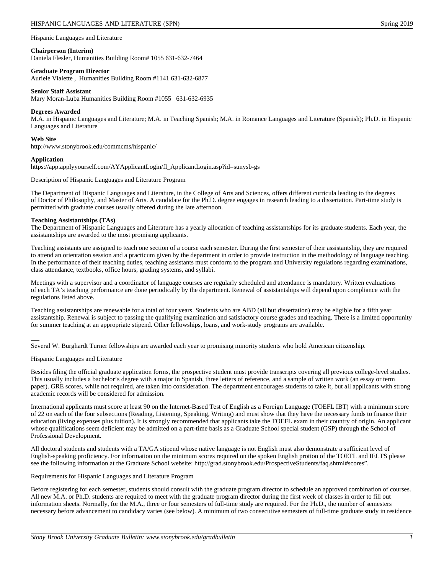Hispanic Languages and Literature

## **Chairperson (Interim)**

Daniela Flesler, Humanities Building Room# 1055 631-632-7464

#### **Graduate Program Director**

Auriele Vialette , Humanities Building Room #1141 631-632-6877

## **Senior Staff Assistant**

Mary Moran-Luba Humanities Building Room #1055 631-632-6935

## **Degrees Awarded**

M.A. in Hispanic Languages and Literature; M.A. in Teaching Spanish; M.A. in Romance Languages and Literature (Spanish); Ph.D. in Hispanic Languages and Literature

## **Web Site**

http://www.stonybrook.edu/commcms/hispanic/

## **Application**

https://app.applyyourself.com/AYApplicantLogin/fl\_ApplicantLogin.asp?id=sunysb-gs

Description of Hispanic Languages and Literature Program

The Department of Hispanic Languages and Literature, in the College of Arts and Sciences, offers different curricula leading to the degrees of Doctor of Philosophy, and Master of Arts. A candidate for the Ph.D. degree engages in research leading to a dissertation. Part-time study is permitted with graduate courses usually offered during the late afternoon.

## **Teaching Assistantships (TAs)**

The Department of Hispanic Languages and Literature has a yearly allocation of teaching assistantships for its graduate students. Each year, the assistantships are awarded to the most promising applicants.

Teaching assistants are assigned to teach one section of a course each semester. During the first semester of their assistantship, they are required to attend an orientation session and a practicum given by the department in order to provide instruction in the methodology of language teaching. In the performance of their teaching duties, teaching assistants must conform to the program and University regulations regarding examinations, class attendance, textbooks, office hours, grading systems, and syllabi.

Meetings with a supervisor and a coordinator of language courses are regularly scheduled and attendance is mandatory. Written evaluations of each TA's teaching performance are done periodically by the department. Renewal of assistantships will depend upon compliance with the regulations listed above.

Teaching assistantships are renewable for a total of four years. Students who are ABD (all but dissertation) may be eligible for a fifth year assistantship. Renewal is subject to passing the qualifying examination and satisfactory course grades and teaching. There is a limited opportunity for summer teaching at an appropriate stipend. Other fellowships, loans, and work-study programs are available.

Several W. Burghardt Turner fellowships are awarded each year to promising minority students who hold American citizenship.

## Hispanic Languages and Literature

Besides filing the official graduate application forms, the prospective student must provide transcripts covering all previous college-level studies. This usually includes a bachelor's degree with a major in Spanish, three letters of reference, and a sample of written work (an essay or term paper). GRE scores, while not required, are taken into consideration. The department encourages students to take it, but all applicants with strong academic records will be considered for admission.

International applicants must score at least 90 on the Internet-Based Test of English as a Foreign Language (TOEFL IBT) with a minimum score of 22 on each of the four subsections (Reading, Listening, Speaking, Writing) and must show that they have the necessary funds to finance their education (living expenses plus tuition). It is strongly recommended that applicants take the TOEFL exam in their country of origin. An applicant whose qualifications seem deficient may be admitted on a part-time basis as a Graduate School special student (GSP) through the School of Professional Development.

All doctoral students and students with a TA/GA stipend whose native language is not English must also demonstrate a sufficient level of English-speaking proficiency. For information on the minimum scores required on the spoken English protion of the TOEFL and IELTS please see the following information at the Graduate School website: http://grad.stonybrook.edu/ProspectiveStudents/faq.shtml#scores".

## Requirements for Hispanic Languages and Literature Program

Before registering for each semester, students should consult with the graduate program director to schedule an approved combination of courses. All new M.A. or Ph.D. students are required to meet with the graduate program director during the first week of classes in order to fill out information sheets. Normally, for the M.A., three or four semesters of full-time study are required. For the Ph.D., the number of semesters necessary before advancement to candidacy varies (see below). A minimum of two consecutive semesters of full-time graduate study in residence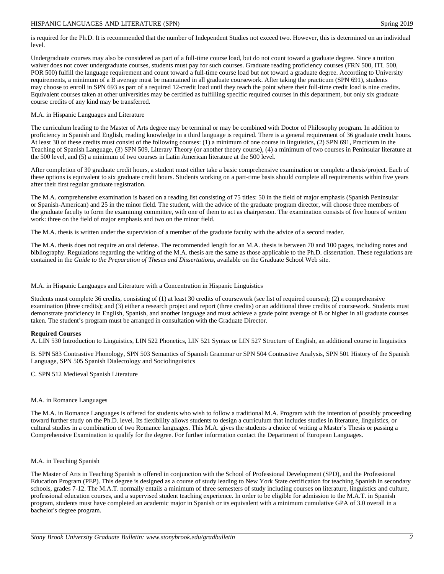is required for the Ph.D. It is recommended that the number of Independent Studies not exceed two. However, this is determined on an individual level.

Undergraduate courses may also be considered as part of a full-time course load, but do not count toward a graduate degree. Since a tuition waiver does not cover undergraduate courses, students must pay for such courses. Graduate reading proficiency courses (FRN 500, ITL 500, POR 500) fulfill the language requirement and count toward a full-time course load but not toward a graduate degree. According to University requirements, a minimum of a B average must be maintained in all graduate coursework. After taking the practicum (SPN 691), students may choose to enroll in SPN 693 as part of a required 12-credit load until they reach the point where their full-time credit load is nine credits. Equivalent courses taken at other universities may be certified as fulfilling specific required courses in this department, but only six graduate course credits of any kind may be transferred.

## M.A. in Hispanic Languages and Literature

The curriculum leading to the Master of Arts degree may be terminal or may be combined with Doctor of Philosophy program. In addition to proficiency in Spanish and English, reading knowledge in a third language is required. There is a general requirement of 36 graduate credit hours. At least 30 of these credits must consist of the following courses: (1) a minimum of one course in linguistics, (2) SPN 691, Practicum in the Teaching of Spanish Language, (3) SPN 509, Literary Theory (or another theory course), (4) a minimum of two courses in Peninsular literature at the 500 level, and (5) a minimum of two courses in Latin American literature at the 500 level.

After completion of 30 graduate credit hours, a student must either take a basic comprehensive examination or complete a thesis/project. Each of these options is equivalent to six graduate credit hours. Students working on a part-time basis should complete all requirements within five years after their first regular graduate registration.

The M.A. comprehensive examination is based on a reading list consisting of 75 titles: 50 in the field of major emphasis (Spanish Peninsular or Spanish-American) and 25 in the minor field. The student, with the advice of the graduate program director, will choose three members of the graduate faculty to form the examining committee, with one of them to act as chairperson. The examination consists of five hours of written work: three on the field of major emphasis and two on the minor field.

The M.A. thesis is written under the supervision of a member of the graduate faculty with the advice of a second reader.

The M.A. thesis does not require an oral defense. The recommended length for an M.A. thesis is between 70 and 100 pages, including notes and bibliography. Regulations regarding the writing of the M.A. thesis are the same as those applicable to the Ph.D. dissertation. These regulations are contained in the *Guide to the Preparation of Theses and Dissertations*, available on the Graduate School Web site.

M.A. in Hispanic Languages and Literature with a Concentration in Hispanic Linguistics

Students must complete 36 credits, consisting of (1) at least 30 credits of coursework (see list of required courses); (2) a comprehensive examination (three credits); and (3) either a research project and report (three credits) or an additional three credits of coursework. Students must demonstrate proficiency in English, Spanish, and another language and must achieve a grade point average of B or higher in all graduate courses taken. The student's program must be arranged in consultation with the Graduate Director.

## **Required Courses**

A. LIN 530 Introduction to Linguistics, LIN 522 Phonetics, LIN 521 Syntax or LIN 527 Structure of English, an additional course in linguistics

B. SPN 583 Contrastive Phonology, SPN 503 Semantics of Spanish Grammar or SPN 504 Contrastive Analysis, SPN 501 History of the Spanish Language, SPN 505 Spanish Dialectology and Sociolinguistics

C. SPN 512 Medieval Spanish Literature

## M.A. in Romance Languages

The M.A. in Romance Languages is offered for students who wish to follow a traditional M.A. Program with the intention of possibly proceeding toward further study on the Ph.D. level. Its flexibility allows students to design a curriculum that includes studies in literature, linguistics, or cultural studies in a combination of two Romance languages. This M.A. gives the students a choice of writing a Master's Thesis or passing a Comprehensive Examination to qualify for the degree. For further information contact the Department of European Languages.

## M.A. in Teaching Spanish

The Master of Arts in Teaching Spanish is offered in conjunction with the School of Professional Development (SPD), and the Professional Education Program (PEP). This degree is designed as a course of study leading to New York State certification for teaching Spanish in secondary schools, grades 7-12. The M.A.T. normally entails a minimum of three semesters of study including courses on literature, linguistics and culture, professional education courses, and a supervised student teaching experience. In order to be eligible for admission to the M.A.T. in Spanish program, students must have completed an academic major in Spanish or its equivalent with a minimum cumulative GPA of 3.0 overall in a bachelor's degree program.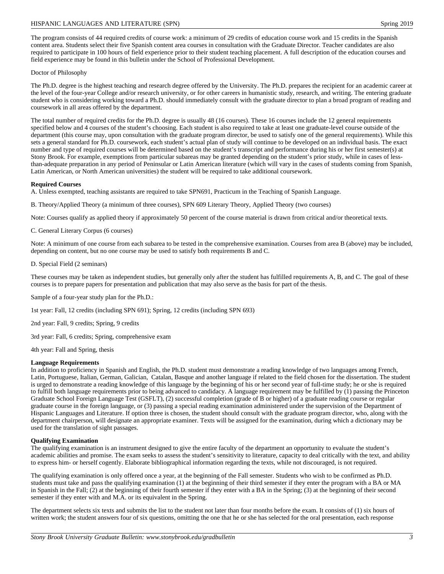The program consists of 44 required credits of course work: a minimum of 29 credits of education course work and 15 credits in the Spanish content area. Students select their five Spanish content area courses in consultation with the Graduate Director. Teacher candidates are also required to participate in 100 hours of field experience prior to their student teaching placement. A full description of the education courses and field experience may be found in this bulletin under the School of Professional Development.

## Doctor of Philosophy

The Ph.D. degree is the highest teaching and research degree offered by the University. The Ph.D. prepares the recipient for an academic career at the level of the four-year College and/or research university, or for other careers in humanistic study, research, and writing. The entering graduate student who is considering working toward a Ph.D. should immediately consult with the graduate director to plan a broad program of reading and coursework in all areas offered by the department.

The total number of required credits for the Ph.D. degree is usually 48 (16 courses). These 16 courses include the 12 general requirements specified below and 4 courses of the student's choosing. Each student is also required to take at least one graduate-level course outside of the department (this course may, upon consultation with the graduate program director, be used to satisfy one of the general requirements). While this sets a general standard for Ph.D. coursework, each student's actual plan of study will continue to be developed on an individual basis. The exact number and type of required courses will be determined based on the student's transcript and performance during his or her first semester(s) at Stony Brook. For example, exemptions from particular subareas may be granted depending on the student's prior study, while in cases of lessthan-adequate preparation in any period of Peninsular or Latin American literature (which will vary in the cases of students coming from Spanish, Latin American, or North American universities) the student will be required to take additional coursework.

## **Required Courses**

A. Unless exempted, teaching assistants are required to take SPN691, Practicum in the Teaching of Spanish Language.

B. Theory/Applied Theory (a minimum of three courses), SPN 609 Literary Theory, Applied Theory (two courses)

Note: Courses qualify as applied theory if approximately 50 percent of the course material is drawn from critical and/or theoretical texts.

C. General Literary Corpus (6 courses)

Note: A minimum of one course from each subarea to be tested in the comprehensive examination. Courses from area B (above) may be included, depending on content, but no one course may be used to satisfy both requirements B and C.

D. Special Field (2 seminars)

These courses may be taken as independent studies, but generally only after the student has fulfilled requirements A, B, and C. The goal of these courses is to prepare papers for presentation and publication that may also serve as the basis for part of the thesis.

Sample of a four-year study plan for the Ph.D.:

1st year: Fall, 12 credits (including SPN 691); Spring, 12 credits (including SPN 693)

2nd year: Fall, 9 credits; Spring, 9 credits

3rd year: Fall, 6 credits; Spring, comprehensive exam

4th year: Fall and Spring, thesis

## **Language Requirements**

In addition to proficiency in Spanish and English, the Ph.D. student must demonstrate a reading knowledge of two languages among French, Latin, Portuguese, Italian, German, Galician, Catalan, Basque and another language if related to the field chosen for the dissertation. The student is urged to demonstrate a reading knowledge of this language by the beginning of his or her second year of full-time study; he or she is required to fulfill both language requirements prior to being advanced to candidacy. A language requirement may be fulfilled by (1) passing the Princeton Graduate School Foreign Language Test (GSFLT), (2) successful completion (grade of B or higher) of a graduate reading course or regular graduate course in the foreign language, or (3) passing a special reading examination administered under the supervision of the Department of Hispanic Languages and Literature. If option three is chosen, the student should consult with the graduate program director, who, along with the department chairperson, will designate an appropriate examiner. Texts will be assigned for the examination, during which a dictionary may be used for the translation of sight passages.

## **Qualifying Examination**

The qualifying examination is an instrument designed to give the entire faculty of the department an opportunity to evaluate the student's academic abilities and promise. The exam seeks to assess the student's sensitivity to literature, capacity to deal critically with the text, and ability to express him- or herself cogently. Elaborate bibliographical information regarding the texts, while not discouraged, is not required.

The qualifying examination is only offered once a year, at the beginning of the Fall semester. Students who wish to be confirmed as Ph.D. students must take and pass the qualifying examination (1) at the beginning of their third semester if they enter the program with a BA or MA in Spanish in the Fall; (2) at the beginning of their fourth semester if they enter with a BA in the Spring; (3) at the beginning of their second semester if they enter with and M.A. or its equivalent in the Spring.

The department selects six texts and submits the list to the student not later than four months before the exam. It consists of (1) six hours of written work; the student answers four of six questions, omitting the one that he or she has selected for the oral presentation, each response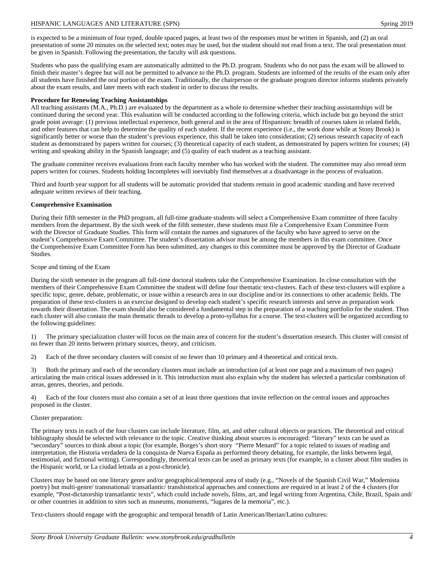is expected to be a minimum of four typed, double spaced pages, at least two of the responses must be written in Spanish, and (2) an oral presentation of some 20 minutes on the selected text; notes may be used, but the student should not read from a text. The oral presentation must be given in Spanish. Following the presentation, the faculty will ask questions.

Students who pass the qualifying exam are automatically admitted to the Ph.D. program. Students who do not pass the exam will be allowed to finish their master's degree but will not be permitted to advance to the Ph.D. program. Students are informed of the results of the exam only after all students have finished the oral portion of the exam. Traditionally, the chairperson or the graduate program director informs students privately about the exam results, and later meets with each student in order to discuss the results.

# **Procedure for Renewing Teaching Assistantships**

All teaching assistants (M.A., Ph.D.) are evaluated by the department as a whole to determine whether their teaching assistantships will be continued during the second year. This evaluation will be conducted according to the following criteria, which include but go beyond the strict grade point average: (1) previous intellectual experience, both general and in the area of Hispanism: breadth of courses taken in related fields, and other features that can help to determine the quality of each student. If the recent experience (i.e., the work done while at Stony Brook) is significantly better or worse than the student's previous experience, this shall be taken into consideration; (2) serious research capacity of each student as demonstrated by papers written for courses; (3) theoretical capacity of each student, as demonstrated by papers written for courses; (4) writing and speaking ability in the Spanish language; and (5) quality of each student as a teaching assistant.

The graduate committee receives evaluations from each faculty member who has worked with the student. The committee may also reread term papers written for courses. Students holding Incompletes will inevitably find themselves at a disadvantage in the process of evaluation.

Third and fourth year support for all students will be automatic provided that students remain in good academic standing and have received adequate written reviews of their teaching.

# **Comprehensive Examination**

During their fifth semester in the PhD program, all full-time graduate students will select a Comprehensive Exam committee of three faculty members from the department. By the sixth week of the fifth semester, these students must file a Comprehensive Exam Committee Form with the Director of Graduate Studies. This form will contain the names and signatures of the faculty who have agreed to serve on the student's Comprehensive Exam Committee. The student's dissertation advisor must be among the members in this exam committee. Once the Comprehensive Exam Committee Form has been submitted, any changes to this committee must be approved by the Director of Graduate Studies.

# Scope and timing of the Exam

During the sixth semester in the program all full-time doctoral students take the Comprehensive Examination. In close consultation with the members of their Comprehensive Exam Committee the student will define four thematic text-clusters. Each of these text-clusters will explore a specific topic, genre, debate, problematic, or issue within a research area in our discipline and/or its connections to other academic fields. The preparation of these text-clusters is an exercise designed to develop each student's specific research interests and serve as preparation work towards their dissertation. The exam should also be considered a fundamental step in the preparation of a teaching portfolio for the student. Thus each cluster will also contain the main thematic threads to develop a proto-syllabus for a course. The text-clusters will be organized according to the following guidelines:

1) The primary specialization cluster will focus on the main area of concern for the student's dissertation research. This cluster will consist of no fewer than 20 items between primary sources, theory, and criticism.

2) Each of the three secondary clusters will consist of no fewer than 10 primary and 4 theoretical and critical texts.

3) Both the primary and each of the secondary clusters must include an introduction (of at least one page and a maximum of two pages) articulating the main critical issues addressed in it. This introduction must also explain why the student has selected a particular combination of areas, genres, theories, and periods.

4) Each of the four clusters must also contain a set of at least three questions that invite reflection on the central issues and approaches proposed in the cluster.

# Cluster preparation:

The primary texts in each of the four clusters can include literature, film, art, and other cultural objects or practices. The theoretical and critical bibliography should be selected with relevance to the topic. Creative thinking about sources is encouraged: "literary" texts can be used as "secondary" sources to think about a topic (for example, Borges's short story "Pierre Menard" for a topic related to issues of reading and interpretation, the Historia verdadera de la conquista de Nueva España as performed theory debating, for example, the links between legal, testimonial, and fictional writing). Correspondingly, theoretical texts can be used as primary texts (for example, in a cluster about film studies in the Hispanic world, or La ciudad letrada as a post-chronicle).

Clusters may be based on one literary genre and/or geographical/temporal area of study (e.g., "Novels of the Spanish Civil War," Modernista poetry) but multi-genre/ transnational/ transatlantic/ transhistorical approaches and connections are required in at least 2 of the 4 clusters (for example, "Post-dictatorship transatlantic texts", which could include novels, films, art, and legal writing from Argentina, Chile, Brazil, Spain and/ or other countries in addition to sites such as museums, monuments, "lugares de la memoria", etc.).

Text-clusters should engage with the geographic and temporal breadth of Latin American/Iberian/Latino cultures: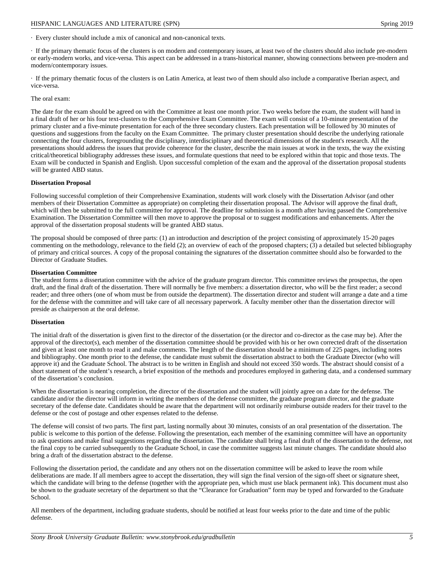· Every cluster should include a mix of canonical and non-canonical texts.

· If the primary thematic focus of the clusters is on modern and contemporary issues, at least two of the clusters should also include pre-modern or early-modern works, and vice-versa. This aspect can be addressed in a trans-historical manner, showing connections between pre-modern and modern/contemporary issues.

· If the primary thematic focus of the clusters is on Latin America, at least two of them should also include a comparative Iberian aspect, and vice-versa.

The oral exam:

The date for the exam should be agreed on with the Committee at least one month prior. Two weeks before the exam, the student will hand in a final draft of her or his four text-clusters to the Comprehensive Exam Committee. The exam will consist of a 10-minute presentation of the primary cluster and a five-minute presentation for each of the three secondary clusters. Each presentation will be followed by 30 minutes of questions and suggestions from the faculty on the Exam Committee. The primary cluster presentation should describe the underlying rationale connecting the four clusters, foregrounding the disciplinary, interdisciplinary and theoretical dimensions of the student's research. All the presentations should address the issues that provide coherence for the cluster, describe the main issues at work in the texts, the way the existing critical/theoretical bibliography addresses these issues, and formulate questions that need to be explored within that topic and those texts. The Exam will be conducted in Spanish and English. Upon successful completion of the exam and the approval of the dissertation proposal students will be granted ABD status.

#### **Dissertation Proposal**

Following successful completion of their Comprehensive Examination, students will work closely with the Dissertation Advisor (and other members of their Dissertation Committee as appropriate) on completing their dissertation proposal. The Advisor will approve the final draft, which will then be submitted to the full committee for approval. The deadline for submission is a month after having passed the Comprehensive Examination. The Dissertation Committee will then move to approve the proposal or to suggest modifications and enhancements. After the approval of the dissertation proposal students will be granted ABD status.

The proposal should be composed of three parts: (1) an introduction and description of the project consisting of approximately 15-20 pages commenting on the methodology, relevance to the field (2); an overview of each of the proposed chapters; (3) a detailed but selected bibliography of primary and critical sources. A copy of the proposal containing the signatures of the dissertation committee should also be forwarded to the Director of Graduate Studies.

#### **Dissertation Committee**

The student forms a dissertation committee with the advice of the graduate program director. This committee reviews the prospectus, the open draft, and the final draft of the dissertation. There will normally be five members: a dissertation director, who will be the first reader; a second reader; and three others (one of whom must be from outside the department). The dissertation director and student will arrange a date and a time for the defense with the committee and will take care of all necessary paperwork. A faculty member other than the dissertation director will preside as chairperson at the oral defense.

## **Dissertation**

The initial draft of the dissertation is given first to the director of the dissertation (or the director and co-director as the case may be). After the approval of the director(s), each member of the dissertation committee should be provided with his or her own corrected draft of the dissertation and given at least one month to read it and make comments. The length of the dissertation should be a minimum of 225 pages, including notes and bibliography. One month prior to the defense, the candidate must submit the dissertation abstract to both the Graduate Director (who will approve it) and the Graduate School. The abstract is to be written in English and should not exceed 350 words. The abstract should consist of a short statement of the student's research, a brief exposition of the methods and procedures employed in gathering data, and a condensed summary of the dissertation's conclusion.

When the dissertation is nearing completion, the director of the dissertation and the student will jointly agree on a date for the defense. The candidate and/or the director will inform in writing the members of the defense committee, the graduate program director, and the graduate secretary of the defense date. Candidates should be aware that the department will not ordinarily reimburse outside readers for their travel to the defense or the cost of postage and other expenses related to the defense.

The defense will consist of two parts. The first part, lasting normally about 30 minutes, consists of an oral presentation of the dissertation. The public is welcome to this portion of the defense. Following the presentation, each member of the examining committee will have an opportunity to ask questions and make final suggestions regarding the dissertation. The candidate shall bring a final draft of the dissertation to the defense, not the final copy to be carried subsequently to the Graduate School, in case the committee suggests last minute changes. The candidate should also bring a draft of the dissertation abstract to the defense.

Following the dissertation period, the candidate and any others not on the dissertation committee will be asked to leave the room while deliberations are made. If all members agree to accept the dissertation, they will sign the final version of the sign-off sheet or signature sheet, which the candidate will bring to the defense (together with the appropriate pen, which must use black permanent ink). This document must also be shown to the graduate secretary of the department so that the "Clearance for Graduation" form may be typed and forwarded to the Graduate School.

All members of the department, including graduate students, should be notified at least four weeks prior to the date and time of the public defense.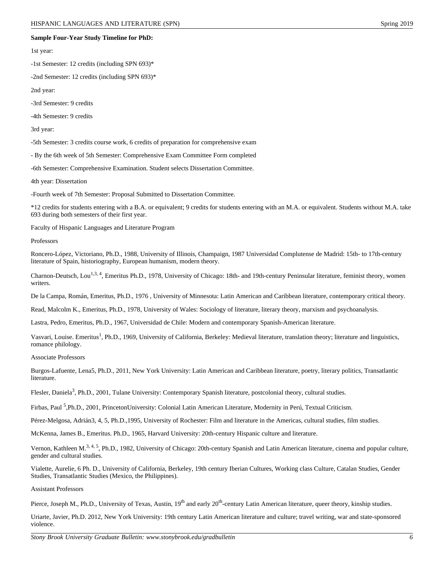#### **Sample Four-Year Study Timeline for PhD:**

1st year:

-1st Semester: 12 credits (including SPN 693)\*

-2nd Semester: 12 credits (including SPN 693)\*

2nd year:

-3rd Semester: 9 credits

-4th Semester: 9 credits

3rd year:

-5th Semester: 3 credits course work, 6 credits of preparation for comprehensive exam

- By the 6th week of 5th Semester: Comprehensive Exam Committee Form completed

-6th Semester: Comprehensive Examination. Student selects Dissertation Committee.

4th year: Dissertation

-Fourth week of 7th Semester: Proposal Submitted to Dissertation Committee.

\*12 credits for students entering with a B.A. or equivalent; 9 credits for students entering with an M.A. or equivalent. Students without M.A. take 693 during both semesters of their first year.

Faculty of Hispanic Languages and Literature Program

Professors

Roncero-López, Victoriano, Ph.D., 1988, University of Illinois, Champaign, 1987 Universidad Complutense de Madrid: 15th- to 17th-century literature of Spain, historiography, European humanism, modern theory.

Charnon-Deutsch, Lou<sup>1,3, 4</sup>, Emeritus Ph.D., 1978, University of Chicago: 18th- and 19th-century Peninsular literature, feminist theory, women writers.

De la Campa, Román, Emeritus, Ph.D., 1976 , University of Minnesota: Latin American and Caribbean literature, contemporary critical theory.

Read, Malcolm K., Emeritus, Ph.D., 1978, University of Wales: Sociology of literature, literary theory, marxism and psychoanalysis.

Lastra, Pedro, Emeritus, Ph.D., 1967, Universidad de Chile: Modern and contemporary Spanish-American literature.

Vasvari, Louise. Emeritus<sup>1</sup>, Ph.D., 1969, University of California, Berkeley: Medieval literature, translation theory; literature and linguistics, romance philology.

Associate Professors

Burgos-Lafuente, Lena5, Ph.D., 2011, New York University: Latin American and Caribbean literature, poetry, literary politics, Transatlantic literature.

Flesler, Daniela<sup>3</sup>, Ph.D., 2001, Tulane University: Contemporary Spanish literature, postcolonial theory, cultural studies.

Firbas, Paul <sup>5</sup>,Ph.D., 2001, PrincetonUniversity: Colonial Latin American Literature, Modernity in Perú, Textual Criticism.

Pérez-Melgosa, Adrián3, 4, 5, Ph.D.,1995, University of Rochester: Film and literature in the Americas, cultural studies, film studies.

McKenna, James B., Emeritus. Ph.D., 1965, Harvard University: 20th-century Hispanic culture and literature.

Vernon, Kathleen M.<sup>3, 4, 5</sup>, Ph.D., 1982, University of Chicago: 20th-century Spanish and Latin American literature, cinema and popular culture, gender and cultural studies.

Vialette, Aurelie, 6 Ph. D., University of California, Berkeley, 19th century Iberian Cultures, Working class Culture, Catalan Studies, Gender Studies, Transatlantic Studies (Mexico, the Philippines).

Assistant Professors

Pierce, Joseph M., Ph.D., University of Texas, Austin, 19<sup>th</sup> and early 20<sup>th</sup>-century Latin American literature, queer theory, kinship studies.

Uriarte, Javier, Ph.D. 2012, New York University: 19th century Latin American literature and culture; travel writing, war and state-sponsored violence.